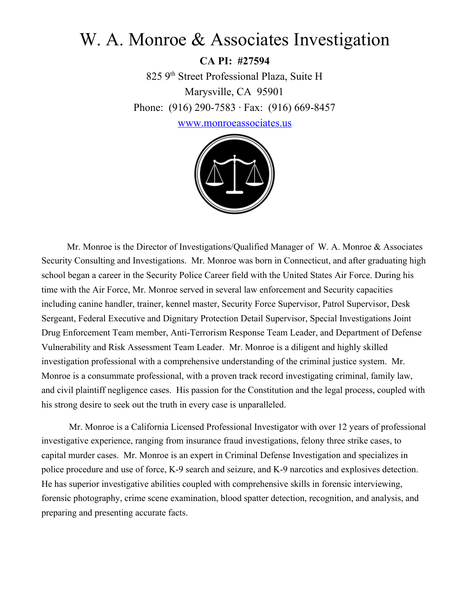# W. A. Monroe & Associates Investigation

**CA PI: #27594** 825 9 th Street Professional Plaza, Suite H Marysville, CA 95901 Phone: (916) 290-7583 · Fax: (916) 669-8457

[www.monroeassociates.us](http://www.acsicalifornia.com/)



Mr. Monroe is the Director of Investigations/Qualified Manager of W. A. Monroe & Associates Security Consulting and Investigations. Mr. Monroe was born in Connecticut, and after graduating high school began a career in the Security Police Career field with the United States Air Force. During his time with the Air Force, Mr. Monroe served in several law enforcement and Security capacities including canine handler, trainer, kennel master, Security Force Supervisor, Patrol Supervisor, Desk Sergeant, Federal Executive and Dignitary Protection Detail Supervisor, Special Investigations Joint Drug Enforcement Team member, Anti-Terrorism Response Team Leader, and Department of Defense Vulnerability and Risk Assessment Team Leader. Mr. Monroe is a diligent and highly skilled investigation professional with a comprehensive understanding of the criminal justice system. Mr. Monroe is a consummate professional, with a proven track record investigating criminal, family law, and civil plaintiff negligence cases. His passion for the Constitution and the legal process, coupled with his strong desire to seek out the truth in every case is unparalleled.

 Mr. Monroe is a California Licensed Professional Investigator with over 12 years of professional investigative experience, ranging from insurance fraud investigations, felony three strike cases, to capital murder cases. Mr. Monroe is an expert in Criminal Defense Investigation and specializes in police procedure and use of force, K-9 search and seizure, and K-9 narcotics and explosives detection. He has superior investigative abilities coupled with comprehensive skills in forensic interviewing, forensic photography, crime scene examination, blood spatter detection, recognition, and analysis, and preparing and presenting accurate facts.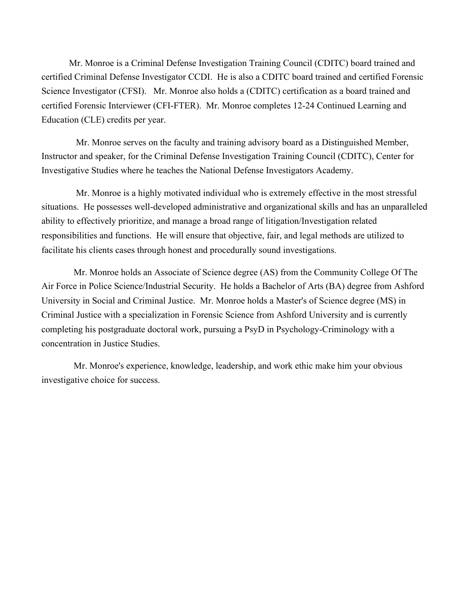Mr. Monroe is a Criminal Defense Investigation Training Council (CDITC) board trained and certified Criminal Defense Investigator CCDI. He is also a CDITC board trained and certified Forensic Science Investigator (CFSI). Mr. Monroe also holds a (CDITC) certification as a board trained and certified Forensic Interviewer (CFI-FTER). Mr. Monroe completes 12-24 Continued Learning and Education (CLE) credits per year.

 Mr. Monroe serves on the faculty and training advisory board as a Distinguished Member, Instructor and speaker, for the Criminal Defense Investigation Training Council (CDITC), Center for Investigative Studies where he teaches the National Defense Investigators Academy.

 Mr. Monroe is a highly motivated individual who is extremely effective in the most stressful situations. He possesses well-developed administrative and organizational skills and has an unparalleled ability to effectively prioritize, and manage a broad range of litigation/Investigation related responsibilities and functions. He will ensure that objective, fair, and legal methods are utilized to facilitate his clients cases through honest and procedurally sound investigations.

 Mr. Monroe holds an Associate of Science degree (AS) from the Community College Of The Air Force in Police Science/Industrial Security. He holds a Bachelor of Arts (BA) degree from Ashford University in Social and Criminal Justice. Mr. Monroe holds a Master's of Science degree (MS) in Criminal Justice with a specialization in Forensic Science from Ashford University and is currently completing his postgraduate doctoral work, pursuing a PsyD in Psychology-Criminology with a concentration in Justice Studies.

 Mr. Monroe's experience, knowledge, leadership, and work ethic make him your obvious investigative choice for success.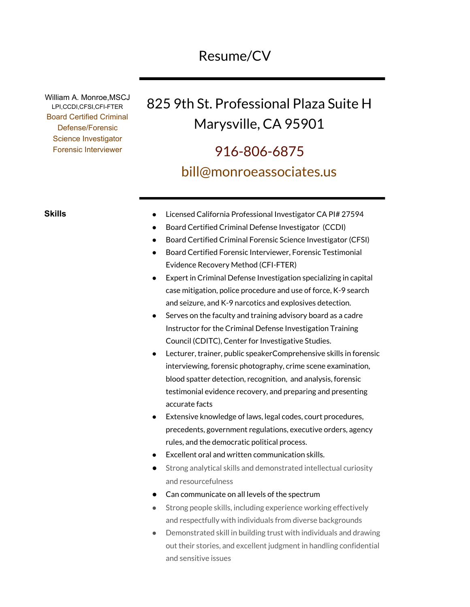## Resume/CV

William A. Monroe,MSCJ LPI,CCDI,CFSI,CFI-FTER Board Certified Criminal Defense/Forensic Science Investigator Forensic Interviewer

# 825 9th St. Professional Plaza Suite H Marysville, CA 95901

# 916-806-6875 bill@monroeassociates.us

- **Skills** Licensed California Professional Investigator CA PI# 27594
	- Board Certified Criminal Defense Investigator (CCDI)
	- Board Certified Criminal Forensic Science Investigator (CFSI)
	- Board Certified Forensic Interviewer, Forensic Testimonial Evidence Recovery Method (CFI-FTER)
	- **Expert in Criminal Defense Investigation specializing in capital** case mitigation, police procedure and use of force, K-9 search and seizure, and K-9 narcotics and explosives detection.
	- Serves on the faculty and training advisory board as a cadre Instructor for the Criminal Defense Investigation Training Council (CDITC), Center for Investigative Studies.
	- Lecturer, trainer, public speakerComprehensive skills in forensic interviewing, forensic photography, crime scene examination, blood spatter detection, recognition, and analysis, forensic testimonial evidence recovery, and preparing and presenting accurate facts
	- Extensive knowledge of laws, legal codes, court procedures, precedents, government regulations, executive orders, agency rules, and the democratic political process.
	- Excellent oral and written communication skills.
	- Strong analytical skills and demonstrated intellectual curiosity and resourcefulness
	- Can communicate on all levels of the spectrum
	- Strong people skills, including experience working effectively and respectfully with individuals from diverse backgrounds
	- Demonstrated skill in building trust with individuals and drawing out their stories, and excellent judgment in handling confidential and sensitive issues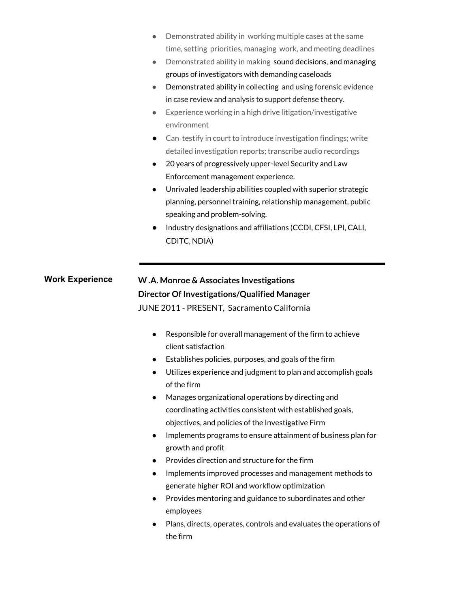- Demonstrated ability in working multiple cases at the same time, setting priorities, managing work, and meeting deadlines
- Demonstrated ability in making sound decisions, and managing groups of investigators with demanding caseloads
- Demonstrated ability in collecting and using forensic evidence in case review and analysis to support defense theory.
- Experience working in a high drive litigation/investigative environment
- Can testify in court to introduce investigation findings; write detailed investigation reports; transcribe audio recordings
- 20 years of progressively upper-level Security and Law Enforcement management experience.
- Unrivaled leadership abilities coupled with superior strategic planning, personnel training, relationship management, public speaking and problem-solving.
- Industry designations and affiliations (CCDI, CFSI, LPI, CALI, CDITC, NDIA)

### **Work Experience W .A. Monroe & Associates Investigations Director Of Investigations/Qualified Manager** JUNE 2011 - PRESENT, Sacramento California

- Responsible for overall management of the firm to achieve client satisfaction
- Establishes policies, purposes, and goals of the firm
- Utilizes experience and judgment to plan and accomplish goals of the firm
- Manages organizational operations by directing and coordinating activities consistent with established goals, objectives, and policies of the Investigative Firm
- Implements programs to ensure attainment of business plan for growth and profit
- Provides direction and structure for the firm
- Implements improved processes and management methods to generate higher ROI and workflow optimization
- Provides mentoring and guidance to subordinates and other employees
- Plans, directs, operates, controls and evaluates the operations of the firm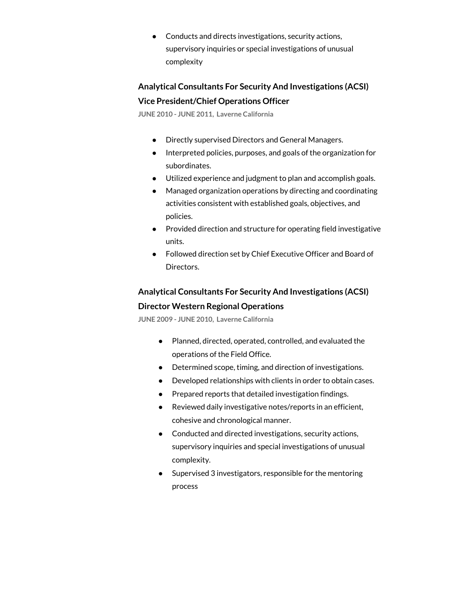● Conducts and directs investigations, security actions, supervisory inquiries or special investigations of unusual complexity

**Analytical Consultants For Security And Investigations (ACSI) Vice President/Chief Operations Officer**

**JUNE 2010 - JUNE 2011, Laverne California**

- Directly supervised Directors and General Managers.
- Interpreted policies, purposes, and goals of the organization for subordinates.
- Utilized experience and judgment to plan and accomplish goals.
- Managed organization operations by directing and coordinating activities consistent with established goals, objectives, and policies.
- Provided direction and structure for operating field investigative units.
- Followed direction set by Chief Executive Officer and Board of Directors.

### **Analytical Consultants For Security And Investigations (ACSI) Director Western Regional Operations**

**JUNE 2009 - JUNE 2010, Laverne California**

- Planned, directed, operated, controlled, and evaluated the operations of the Field Office.
- Determined scope, timing, and direction of investigations.
- Developed relationships with clients in order to obtain cases.
- Prepared reports that detailed investigation findings.
- Reviewed daily investigative notes/reports in an efficient, cohesive and chronological manner.
- Conducted and directed investigations, security actions, supervisory inquiries and special investigations of unusual complexity.
- Supervised 3 investigators, responsible for the mentoring process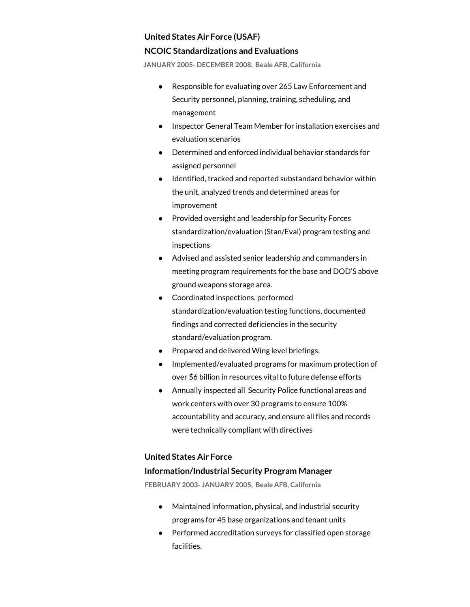#### **United States Air Force (USAF)**

#### **NCOIC Standardizations and Evaluations**

**JANUARY 2005- DECEMBER 2008, Beale AFB, California**

- Responsible for evaluating over 265 Law Enforcement and Security personnel, planning, training, scheduling, and management
- Inspector General Team Member for installation exercises and evaluation scenarios
- Determined and enforced individual behavior standards for assigned personnel
- Identified, tracked and reported substandard behavior within the unit, analyzed trends and determined areas for improvement
- Provided oversight and leadership for Security Forces standardization/evaluation (Stan/Eval) program testing and inspections
- Advised and assisted senior leadership and commanders in meeting program requirements for the base and DOD'S above ground weapons storage area.
- Coordinated inspections, performed standardization/evaluation testing functions, documented findings and corrected deficiencies in the security standard/evaluation program.
- Prepared and delivered Wing level briefings.
- Implemented/evaluated programs for maximum protection of over \$6 billion in resources vital to future defense efforts
- Annually inspected all Security Police functional areas and work centers with over 30 programs to ensure 100% accountability and accuracy, and ensure all files and records were technically compliant with directives

#### **United States Air Force**

#### **Information/Industrial Security Program Manager**

**FEBRUARY 2003- JANUARY 2005, Beale AFB, California**

- Maintained information, physical, and industrial security programs for 45 base organizations and tenant units
- Performed accreditation surveys for classified open storage facilities.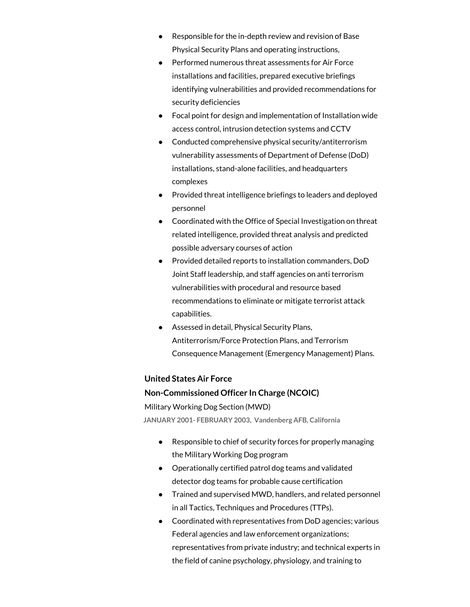- Responsible for the in-depth review and revision of Base Physical Security Plans and operating instructions,
- Performed numerous threat assessments for Air Force installations and facilities, prepared executive briefings identifying vulnerabilities and provided recommendations for security deficiencies
- Focal point for design and implementation of Installation wide access control, intrusion detection systems and CCTV
- Conducted comprehensive physical security/antiterrorism vulnerability assessments of Department of Defense (DoD) installations, stand-alone facilities, and headquarters complexes
- Provided threat intelligence briefings to leaders and deployed personnel
- Coordinated with the Office of Special Investigation on threat related intelligence, provided threat analysis and predicted possible adversary courses of action
- Provided detailed reports to installation commanders, DoD Joint Staff leadership, and staff agencies on anti terrorism vulnerabilities with procedural and resource based recommendations to eliminate or mitigate terrorist attack capabilities.
- Assessed in detail, Physical Security Plans, Antiterrorism/Force Protection Plans, and Terrorism Consequence Management (Emergency Management) Plans.

#### **United States Air Force**

#### **Non-Commissioned Officer In Charge (NCOIC)**

Military Working Dog Section (MWD)

**JANUARY 2001- FEBRUARY 2003, Vandenberg AFB, California**

- Responsible to chief of security forces for properly managing the Military Working Dog program
- Operationally certified patrol dog teams and validated detector dog teams for probable cause certification
- Trained and supervised MWD, handlers, and related personnel in all Tactics, Techniques and Procedures (TTPs).
- Coordinated with representatives from DoD agencies; various Federal agencies and law enforcement organizations; representatives from private industry; and technical experts in the field of canine psychology, physiology, and training to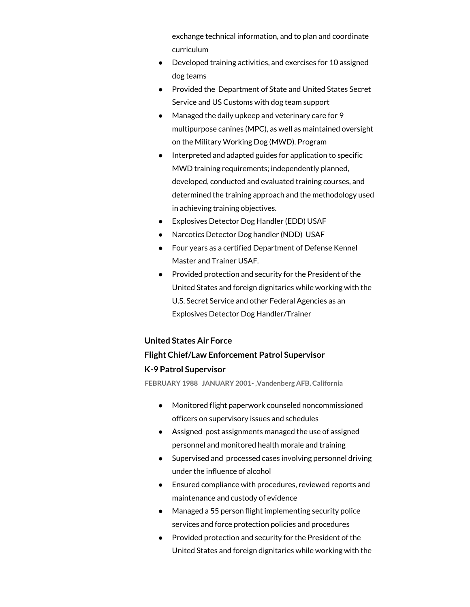exchange technical information, and to plan and coordinate curriculum

- Developed training activities, and exercises for 10 assigned dog teams
- Provided the Department of State and United States Secret Service and US Customs with dog team support
- Managed the daily upkeep and veterinary care for 9 multipurpose canines (MPC), as well as maintained oversight on the Military Working Dog (MWD). Program
- Interpreted and adapted guides for application to specific MWD training requirements; independently planned, developed, conducted and evaluated training [courses](http://www.usajobs.gov/GetJob/ViewDetails/314751000), and determined the training approach and the methodology used in achieving training objectives.
- Explosives Detector Dog Handler (EDD) USAF
- Narcotics Detector Dog handler (NDD) USAF
- Four years as a certified Department of Defense Kennel Master and Trainer USAF.
- Provided protection and security for the President of the United States and foreign dignitaries while working with the U.S. Secret Service and other Federal Agencies as an Explosives Detector Dog Handler/Trainer

### **United States Air Force**

#### **Flight Chief/Law Enforcement Patrol Supervisor**

#### **K-9 Patrol Supervisor**

**FEBRUARY 1988 JANUARY 2001- ,Vandenberg AFB, California**

- Monitored flight paperwork counseled noncommissioned officers on supervisory issues and schedules
- Assigned post assignments managed the use of assigned personnel and monitored health morale and training
- Supervised and processed cases involving personnel driving under the influence of alcohol
- Ensured compliance with procedures, reviewed reports and maintenance and custody of evidence
- Managed a 55 person flight implementing security police services and force protection policies and procedures
- Provided protection and security for the President of the United States and foreign dignitaries while working with the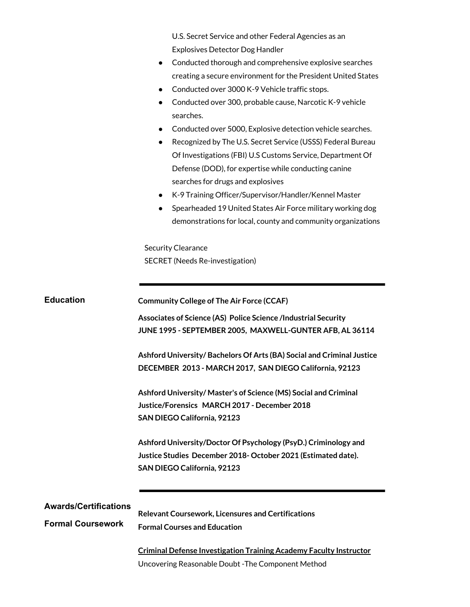| U.S. Secret Service and other Federal Agencies as an |  |
|------------------------------------------------------|--|
| <b>Explosives Detector Dog Handler</b>               |  |

- Conducted thorough and comprehensive explosive searches creating a secure environment for the President United States
- Conducted over 3000 K-9 Vehicle traffic stops.
- Conducted over 300, probable cause, Narcotic K-9 vehicle searches.
- Conducted over 5000, Explosive detection vehicle searches.
- Recognized by The U.S. Secret Service (USSS) Federal Bureau Of Investigations (FBI) U.S Customs Service, Department Of Defense (DOD), for expertise while conducting canine searches for drugs and explosives
- K-9 Training Officer/Supervisor/Handler/Kennel Master
- Spearheaded 19 United States Air Force military working dog demonstrations for local, county and community organizations

Security Clearance SECRET (Needs Re-investigation)

| <b>Education</b>                                         | <b>Community College of The Air Force (CCAF)</b><br>Associates of Science (AS) Police Science /Industrial Security<br>JUNE 1995 - SEPTEMBER 2005, MAXWELL-GUNTER AFB, AL 36114 |
|----------------------------------------------------------|--------------------------------------------------------------------------------------------------------------------------------------------------------------------------------|
|                                                          | Ashford University/Bachelors Of Arts (BA) Social and Criminal Justice<br>DECEMBER 2013 - MARCH 2017, SAN DIEGO California, 92123                                               |
|                                                          | Ashford University/Master's of Science (MS) Social and Criminal<br>Justice/Forensics MARCH 2017 - December 2018<br>SAN DIEGO California, 92123                                 |
|                                                          | Ashford University/Doctor Of Psychology (PsyD.) Criminology and<br>Justice Studies December 2018-October 2021 (Estimated date).<br>SAN DIEGO California, 92123                 |
|                                                          |                                                                                                                                                                                |
| <b>Awards/Certifications</b><br><b>Formal Coursework</b> | <b>Relevant Coursework, Licensures and Certifications</b><br><b>Formal Courses and Education</b>                                                                               |
|                                                          | <b>Criminal Defense Investigation Training Academy Faculty Instructor</b><br>Uncovering Reasonable Doubt - The Component Method                                                |